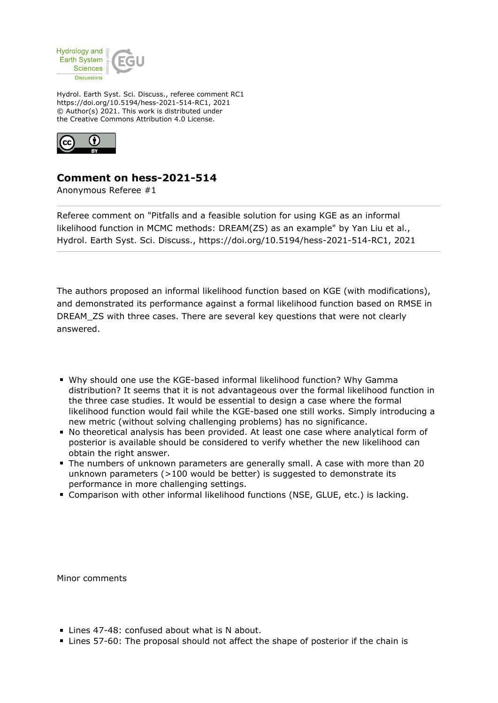

Hydrol. Earth Syst. Sci. Discuss., referee comment RC1 https://doi.org/10.5194/hess-2021-514-RC1, 2021 © Author(s) 2021. This work is distributed under the Creative Commons Attribution 4.0 License.



## **Comment on hess-2021-514**

Anonymous Referee #1

Referee comment on "Pitfalls and a feasible solution for using KGE as an informal likelihood function in MCMC methods: DREAM(ZS) as an example" by Yan Liu et al., Hydrol. Earth Syst. Sci. Discuss., https://doi.org/10.5194/hess-2021-514-RC1, 2021

The authors proposed an informal likelihood function based on KGE (with modifications), and demonstrated its performance against a formal likelihood function based on RMSE in DREAM\_ZS with three cases. There are several key questions that were not clearly answered.

- Why should one use the KGE-based informal likelihood function? Why Gamma distribution? It seems that it is not advantageous over the formal likelihood function in the three case studies. It would be essential to design a case where the formal likelihood function would fail while the KGE-based one still works. Simply introducing a new metric (without solving challenging problems) has no significance.
- No theoretical analysis has been provided. At least one case where analytical form of posterior is available should be considered to verify whether the new likelihood can obtain the right answer.
- The numbers of unknown parameters are generally small. A case with more than 20 unknown parameters (>100 would be better) is suggested to demonstrate its performance in more challenging settings.
- Comparison with other informal likelihood functions (NSE, GLUE, etc.) is lacking.

Minor comments

- Lines 47-48: confused about what is N about.
- Lines 57-60: The proposal should not affect the shape of posterior if the chain is